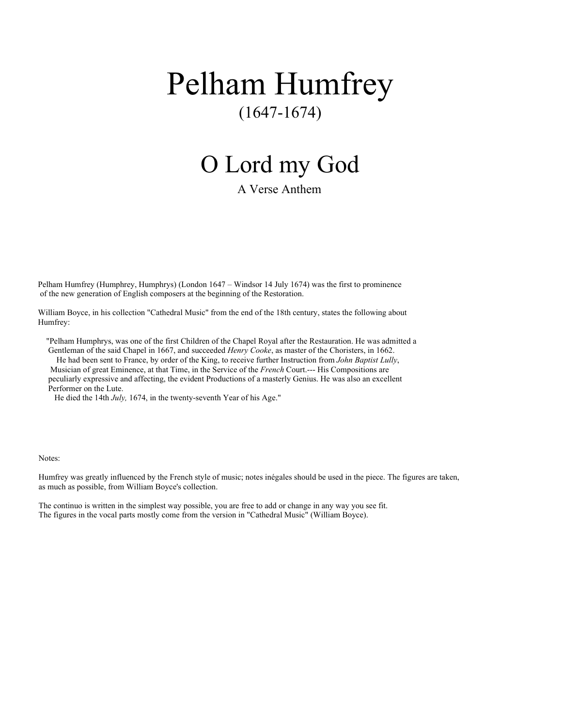# Pelham Humfrey

#### (1647-1674)

## O Lord my God

A Verse Anthem

Pelham Humfrey (Humphrey, Humphrys) (London 1647 – Windsor 14 July 1674) was the first to prominence of the new generation of English composers at the beginning of the Restoration.

William Boyce, in his collection "Cathedral Music" from the end of the 18th century, states the following about Humfrey:

 "Pelham Humphrys, was one of the first Children of the Chapel Royal after the Restauration. He was admitted a Gentleman of the said Chapel in 1667, and succeeded *Henry Cooke*, as master of the Choristers, in 1662.

 He had been sent to France, by order of the King, to receive further Instruction from *John Baptist Lully*, Musician of great Eminence, at that Time, in the Service of the *French* Court.--- His Compositions are peculiarly expressive and affecting, the evident Productions of a masterly Genius. He was also an excellent Performer on the Lute.

He died the 14th *July,* 1674, in the twenty-seventh Year of his Age."

Notes:

Humfrey was greatly influenced by the French style of music; notes inégales should be used in the piece. The figures are taken, as much as possible, from William Boyce's collection.

The continuo is written in the simplest way possible, you are free to add or change in any way you see fit. The figures in the vocal parts mostly come from the version in "Cathedral Music" (William Boyce).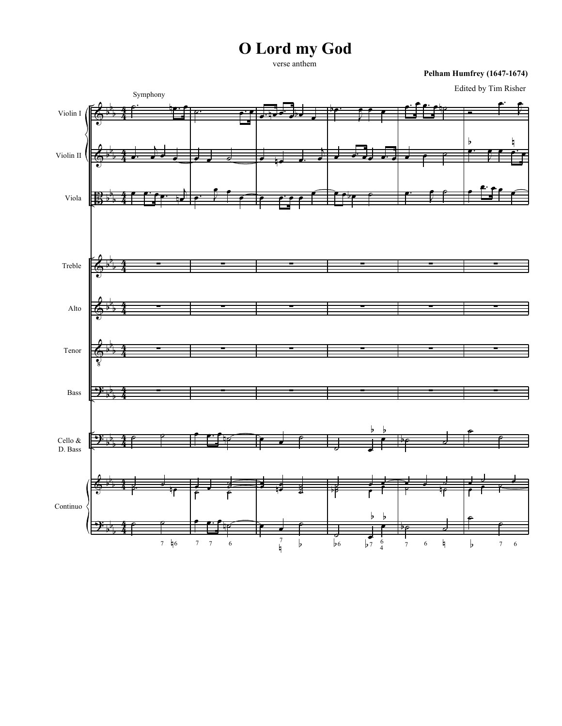verse anthem

#### **Pelham Humfrey (1647-1674)**

Edited by Tim Risher

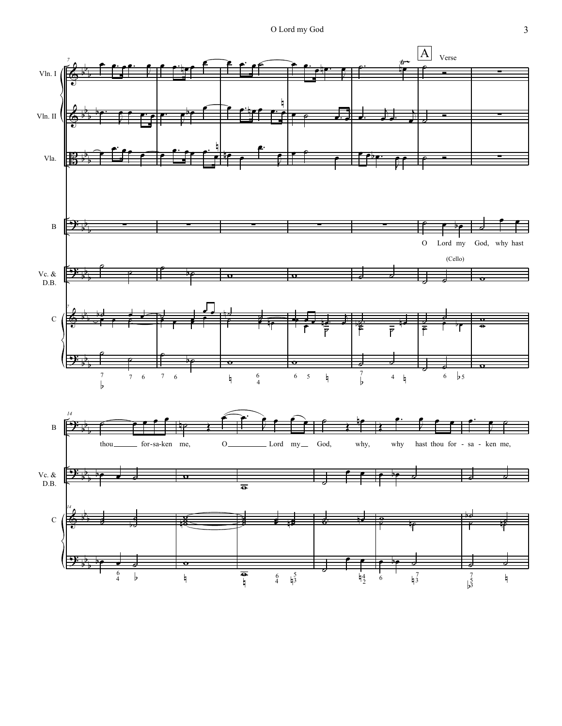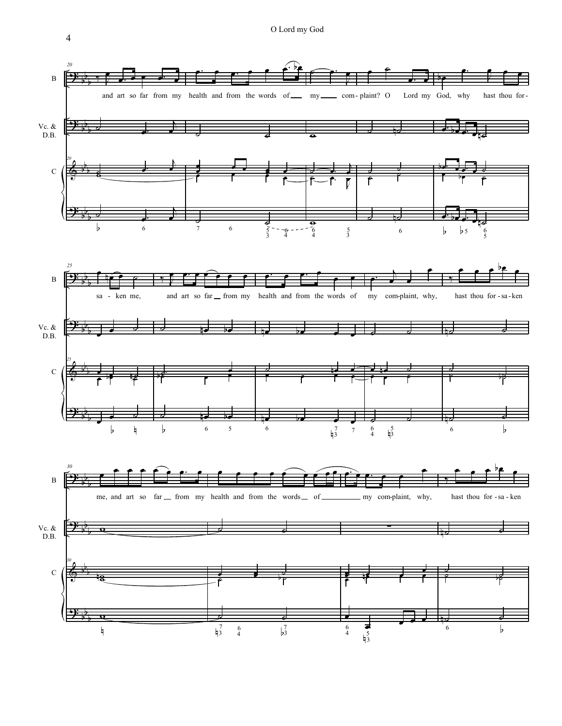![](_page_3_Figure_1.jpeg)

4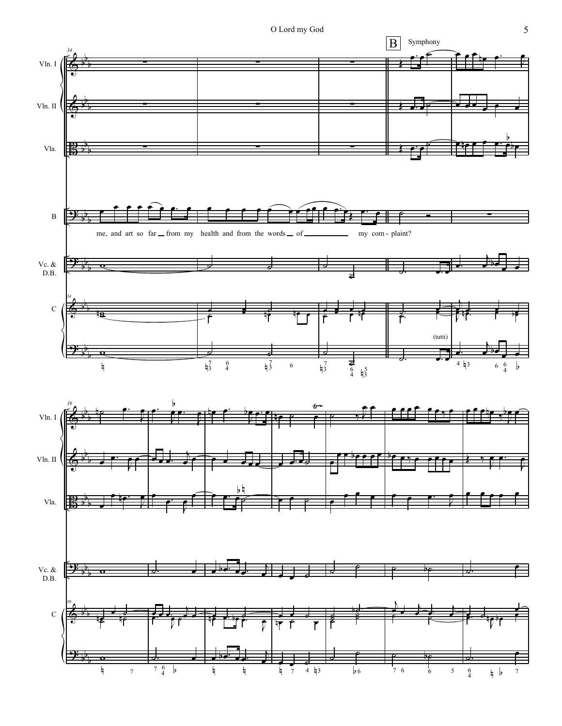![](_page_4_Figure_1.jpeg)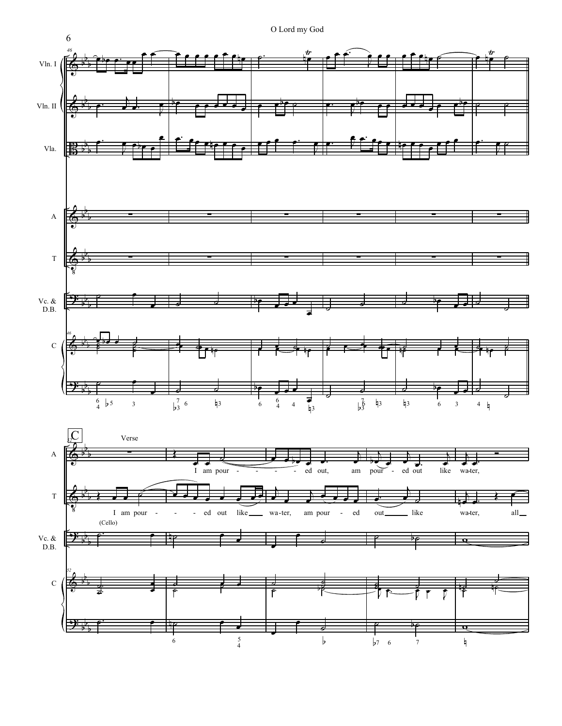![](_page_5_Figure_1.jpeg)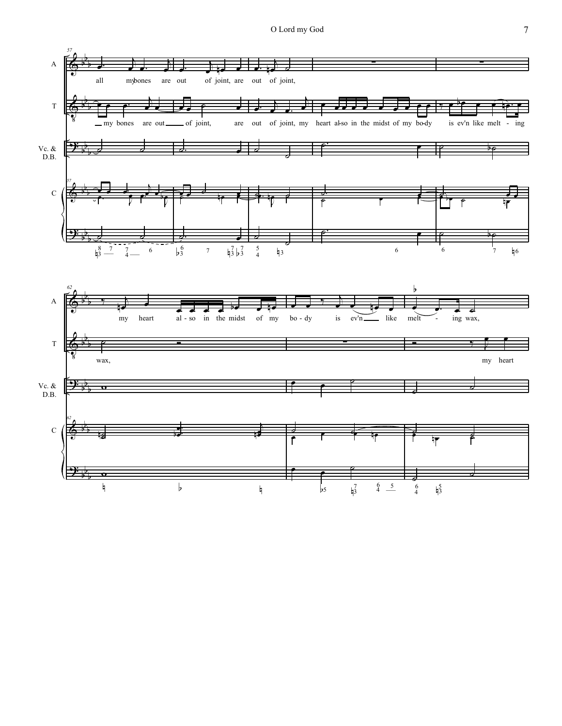![](_page_6_Figure_1.jpeg)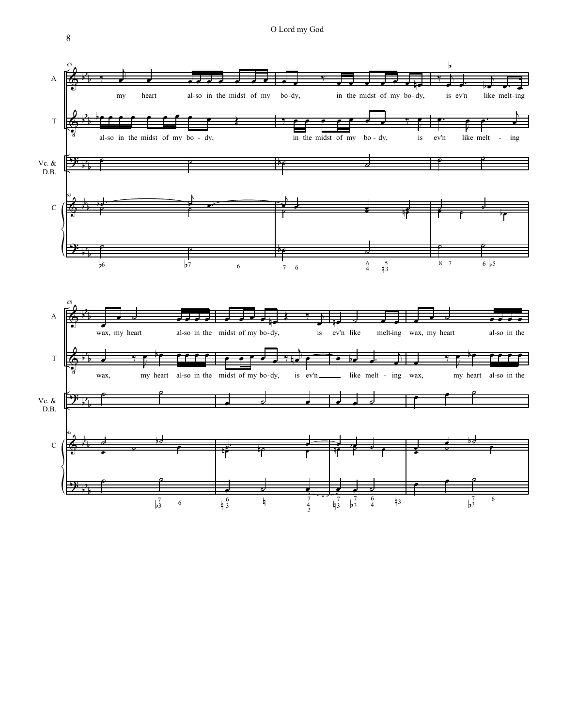![](_page_7_Figure_1.jpeg)

8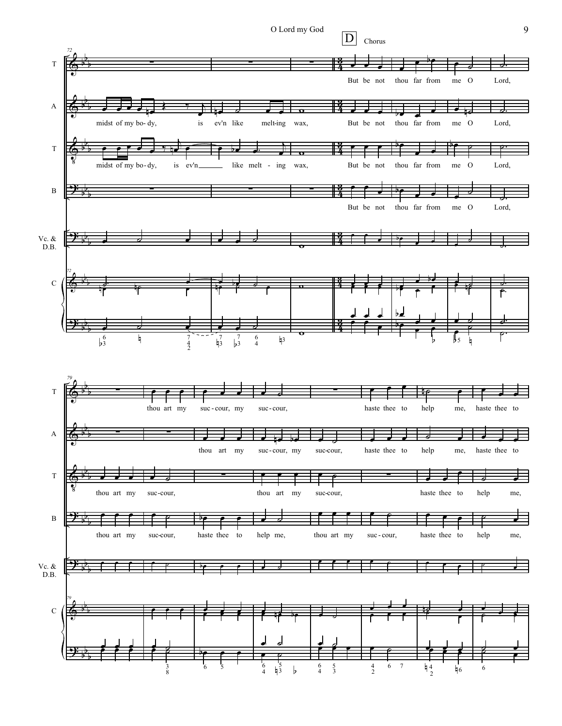![](_page_8_Figure_0.jpeg)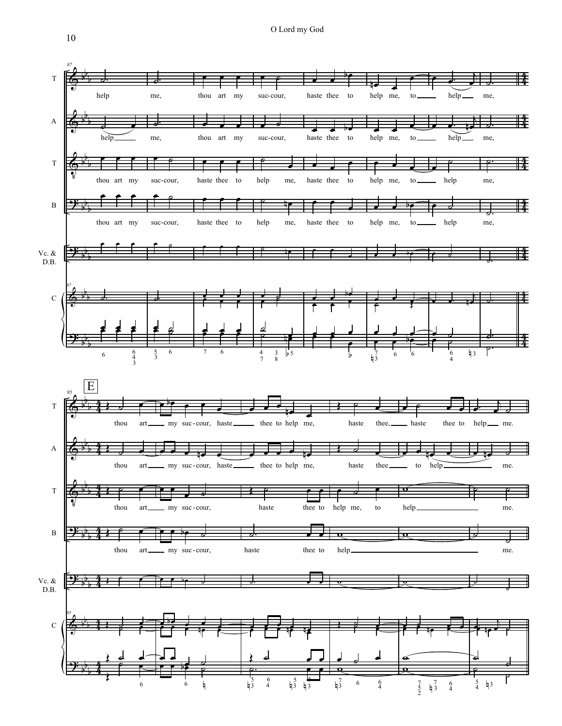![](_page_9_Figure_1.jpeg)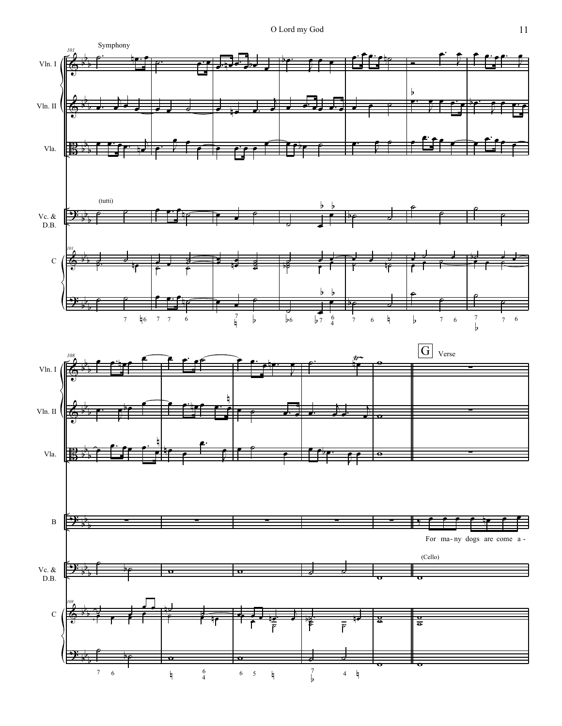![](_page_10_Figure_1.jpeg)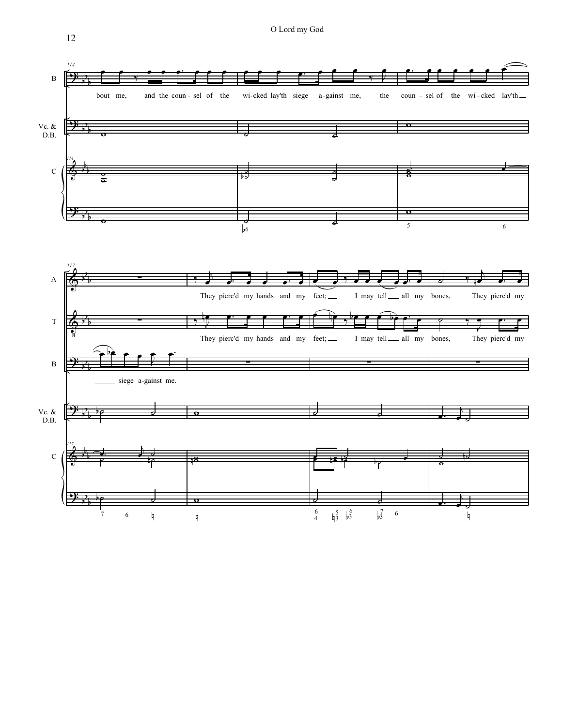![](_page_11_Figure_1.jpeg)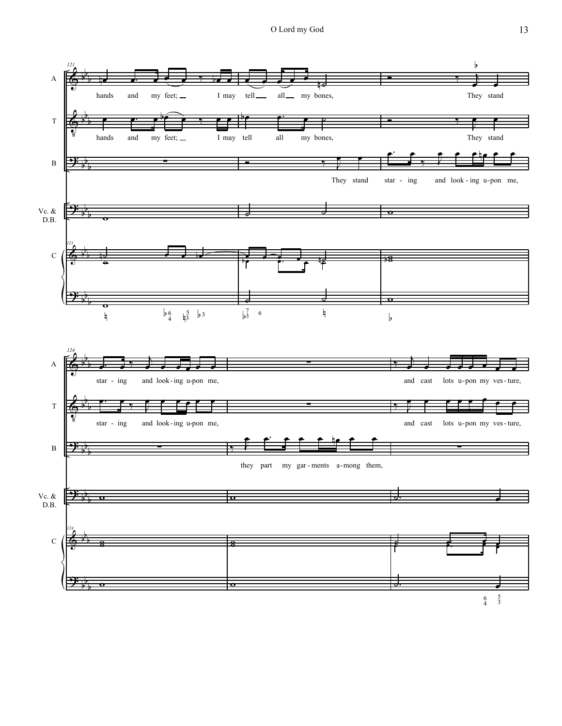![](_page_12_Figure_1.jpeg)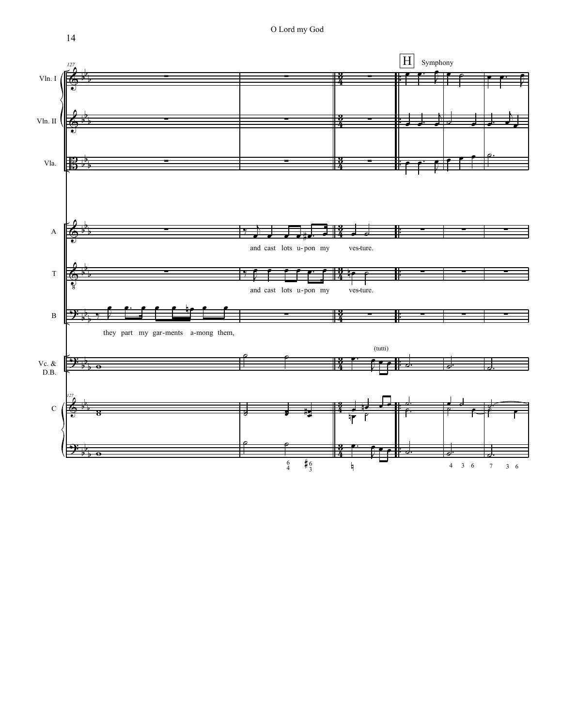![](_page_13_Figure_1.jpeg)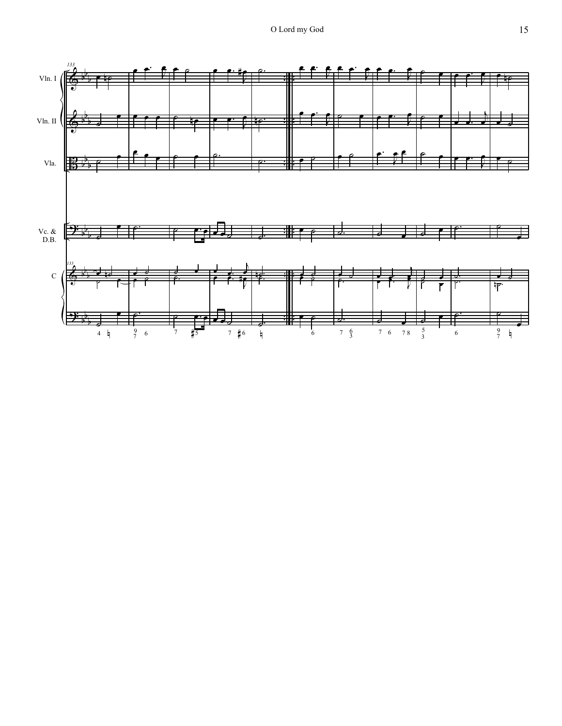![](_page_14_Figure_1.jpeg)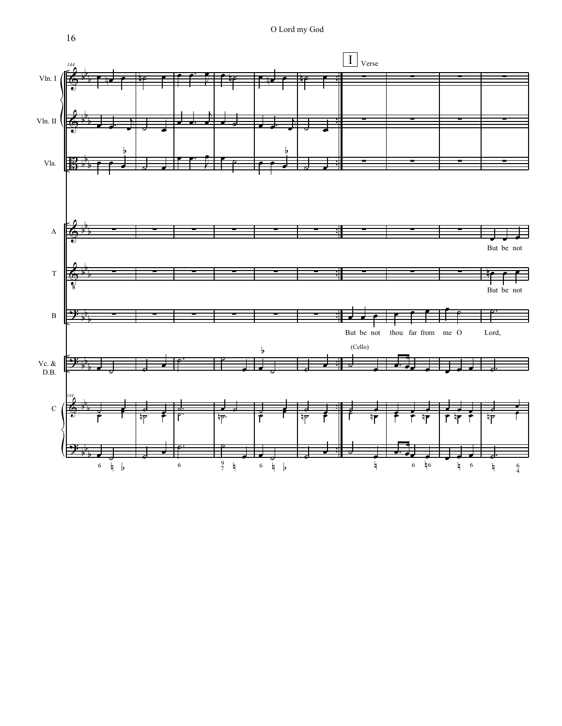![](_page_15_Figure_1.jpeg)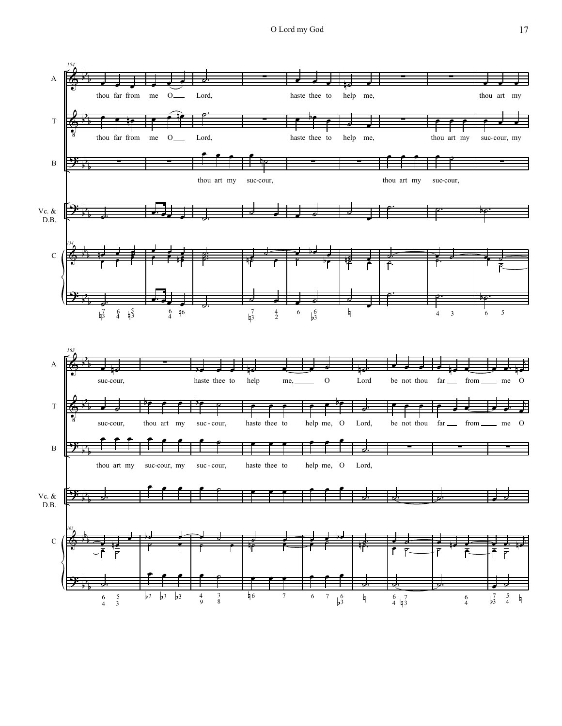![](_page_16_Figure_1.jpeg)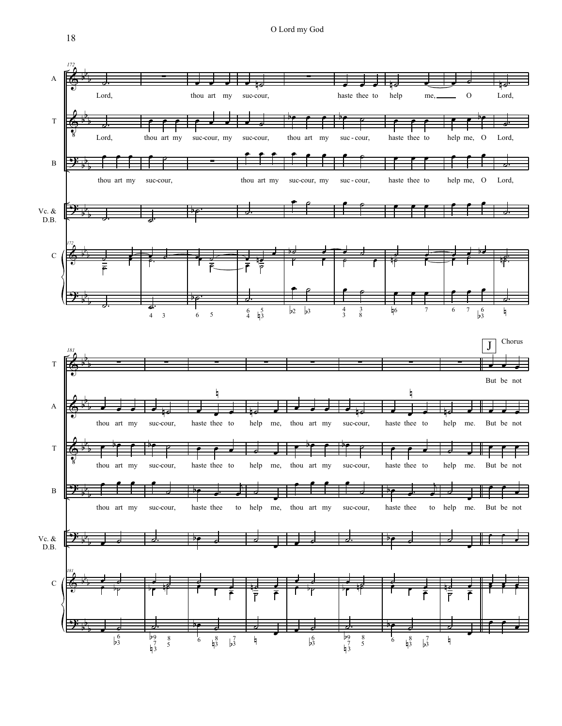O Lord my God

![](_page_17_Figure_1.jpeg)

18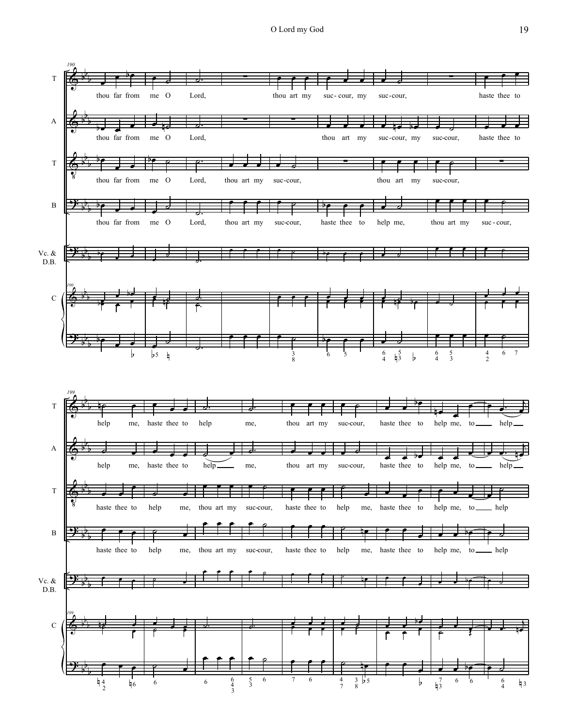![](_page_18_Figure_1.jpeg)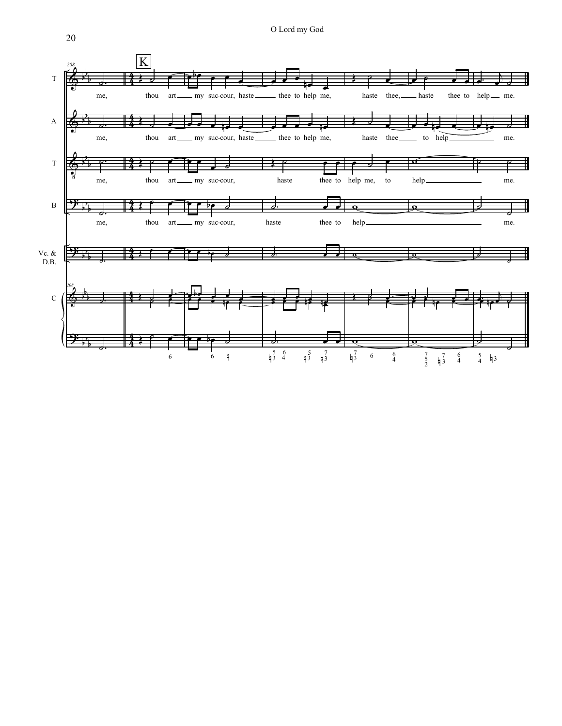![](_page_19_Figure_1.jpeg)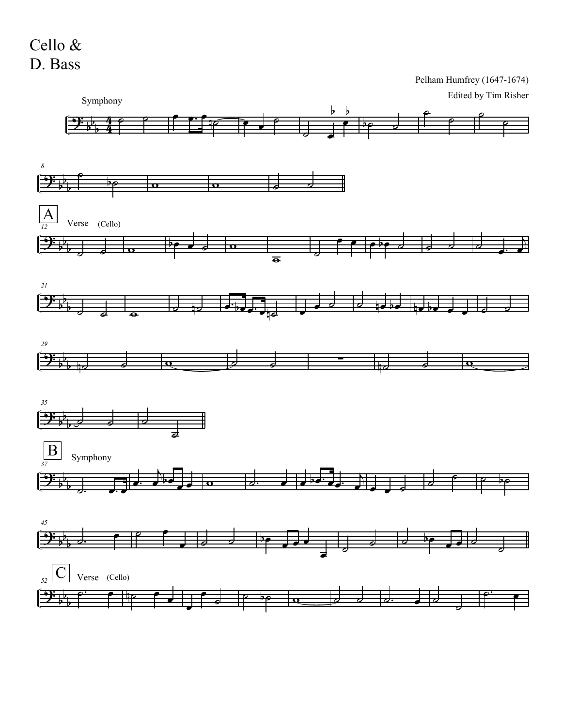```
Pelham Humfrey (1647-1674)
```
![](_page_20_Figure_2.jpeg)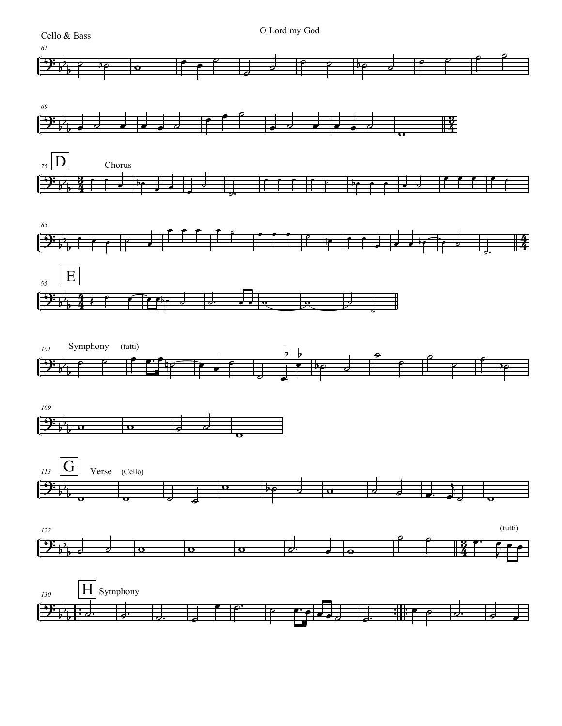![](_page_21_Figure_0.jpeg)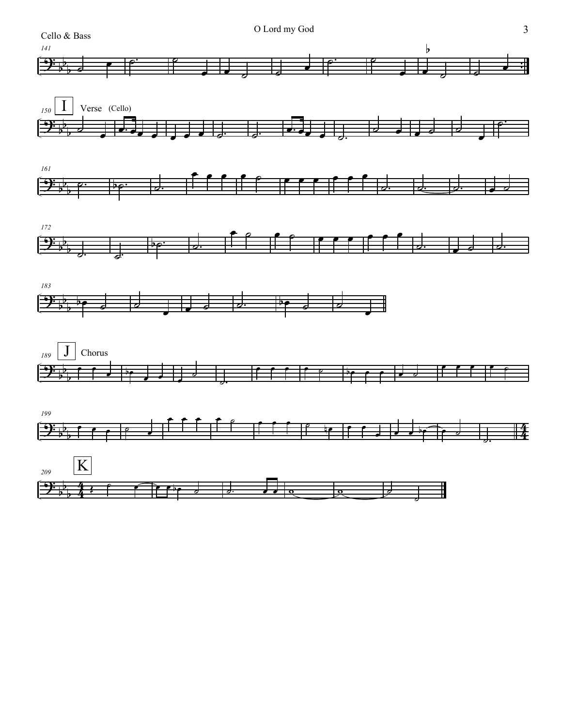![](_page_22_Figure_1.jpeg)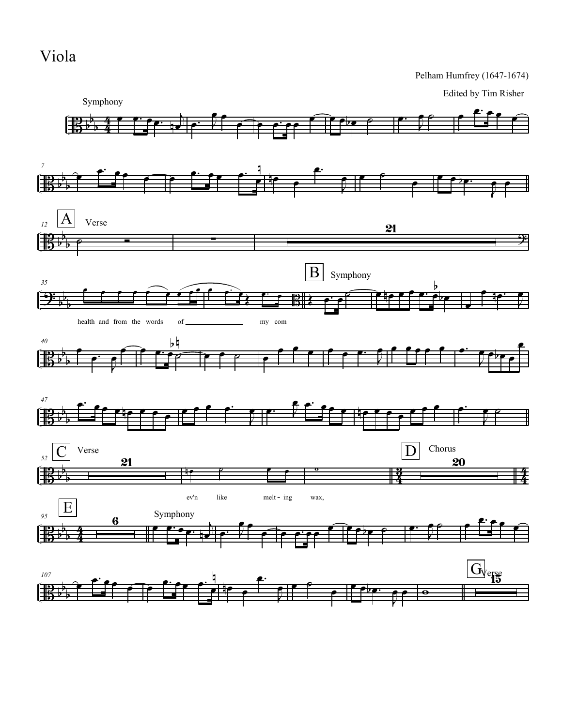Viola

Pelham Humfrey (1647-1674)

Edited by Tim Risher

![](_page_23_Figure_3.jpeg)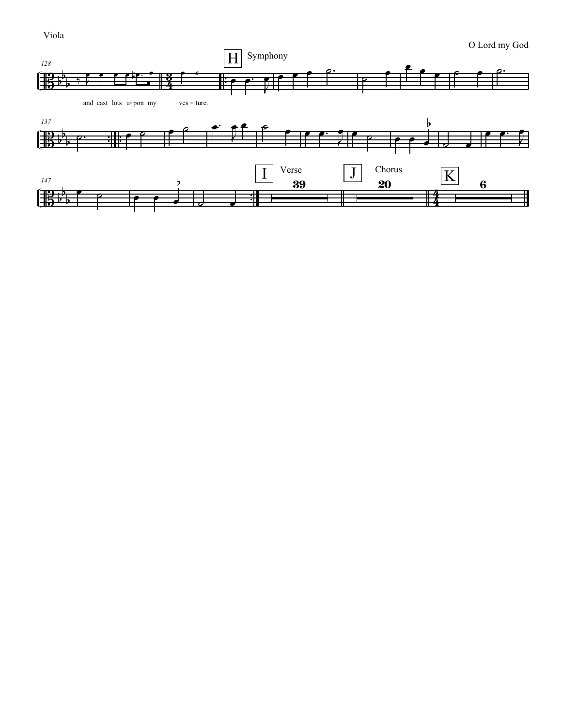Viola

![](_page_24_Figure_2.jpeg)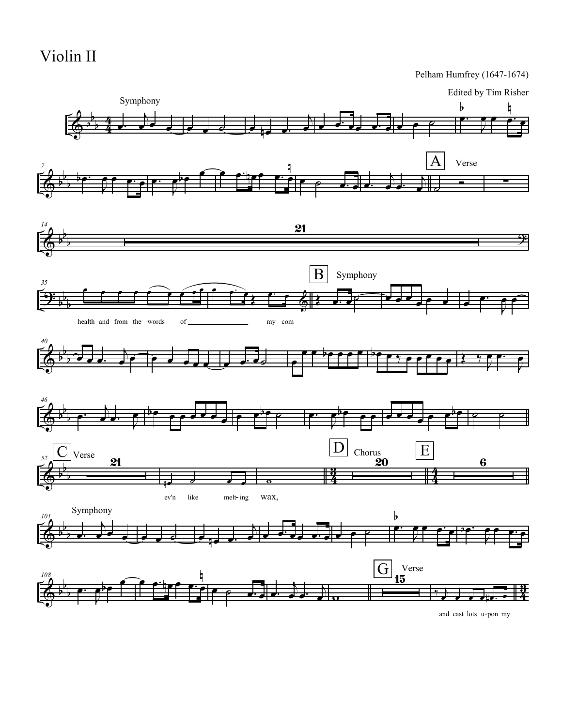### Violin II

Pelham Humfrey (1647-1674)

![](_page_25_Figure_2.jpeg)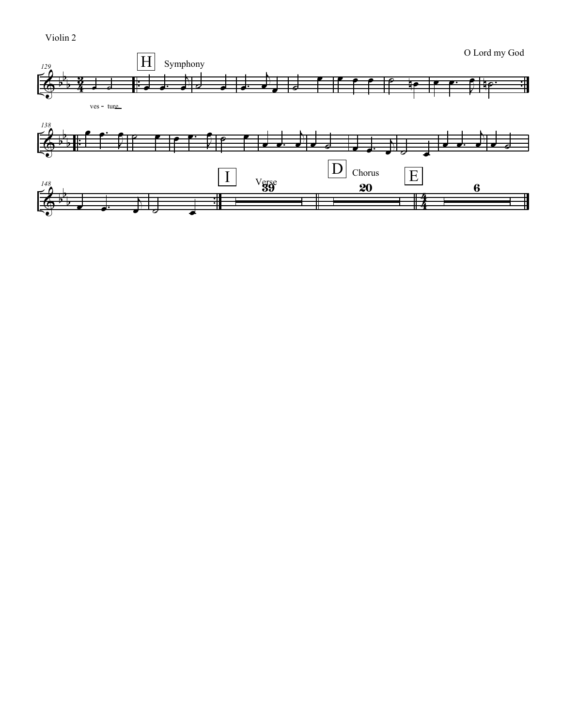Violin 2

![](_page_26_Figure_1.jpeg)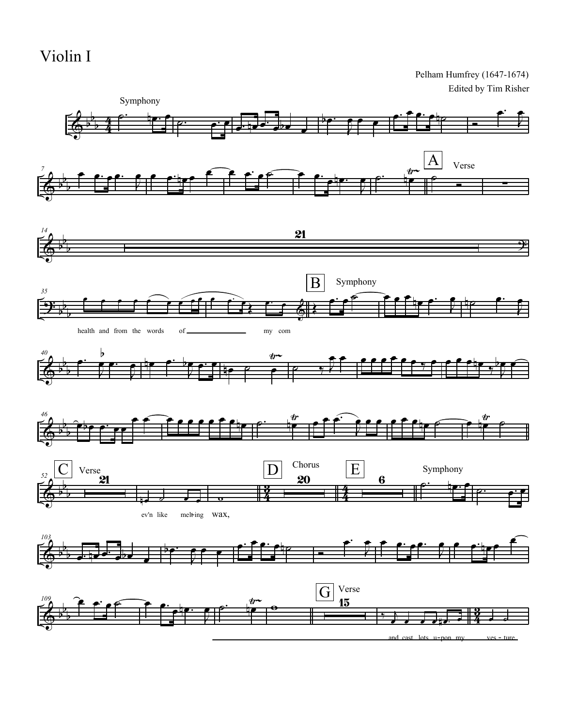### Violin I

```
Pelham Humfrey (1647-1674)
Edited by Tim Risher
```
![](_page_27_Figure_2.jpeg)